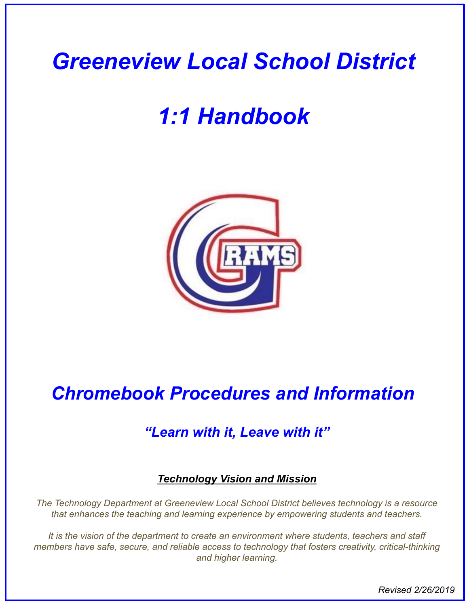# *1:1 Handbook*



# *Chromebook Procedures and Information*

# *"Learn with it, Leave with it"*

# *Technology Vision and Mission*

*The Technology Department at Greeneview Local School District believes technology is a resource that enhances the teaching and learning experience by empowering students and teachers.* 

*It is the vision of the department to create an environment where students, teachers and staff members have safe, secure, and reliable access to technology that fosters creativity, critical-thinking and higher learning.*

*Revised 2/26/2019*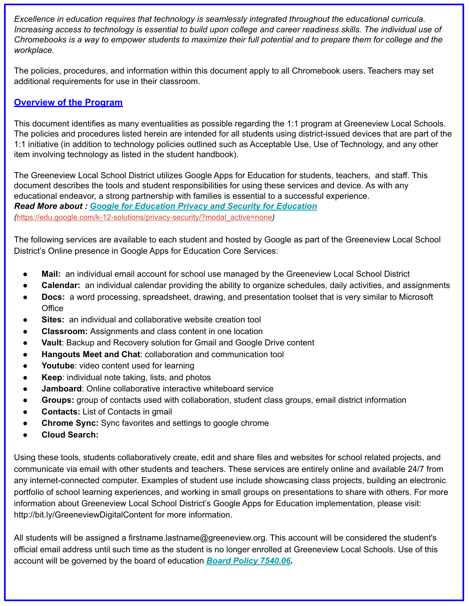*Excellence in education requires that technology is seamlessly integrated throughout the educational curricula. Increasing access to technology is essential to build upon college and career readiness skills. The individual use of Chromebooks is a way to empower students to maximize their full potential and to prepare them for college and the workplace.* 

The policies, procedures, and information within this document apply to all Chromebook users. Teachers may set additional requirements for use in their classroom.

#### **Overview of the Program**

This document identifies as many eventualities as possible regarding the 1:1 program at Greeneview Local Schools. The policies and procedures listed herein are intended for all students using district-issued devices that are part of the 1:1 initiative (in addition to technology policies outlined such as Acceptable Use, Use of Technology, and any other item involving technology as listed in the student handbook).

The Greeneview Local School District utilizes Google Apps for Education for students, teachers, and staff. This document describes the tools and student responsibilities for using these services and device. As with any educational endeavor, a strong partnership with families is essential to a successful experience. *Read More about : [Google for Education Privacy and Security for Education](https://edu.google.com/k-12-solutions/privacy-security/?modal_active=none) (*[https://edu.google.com/k-12-solutions/privacy-security/?modal\\_active=none](https://edu.google.com/k-12-solutions/privacy-security/?modal_active=none)*)*

The following services are available to each student and hosted by Google as part of the Greeneview Local School District's Online presence in Google Apps for Education Core Services:

- Mail: an individual email account for school use managed by the Greeneview Local School District
- **Calendar:** an individual calendar providing the ability to organize schedules, daily activities, and assignments
- **Docs:** a word processing, spreadsheet, drawing, and presentation toolset that is very similar to Microsoft **Office**
- **Sites:** an individual and collaborative website creation tool
- **Classroom:** Assignments and class content in one location
- **Vault: Backup and Recovery solution for Gmail and Google Drive content**
- **Hangouts Meet and Chat: collaboration and communication tool**
- Youtube: video content used for learning
- **Keep:** individual note taking, lists, and photos
- **Jamboard:** Online collaborative interactive whiteboard service
- Groups: group of contacts used with collaboration, student class groups, email district information
- **● Contacts:** List of Contacts in gmail
- **Chrome Sync:** Sync favorites and settings to google chrome
- **● Cloud Search:**

Using these tools, students collaboratively create, edit and share files and websites for school related projects, and communicate via email with other students and teachers. These services are entirely online and available 24/7 from any internet-connected computer. Examples of student use include showcasing class projects, building an electronic portfolio of school learning experiences, and working in small groups on presentations to share with others. For more information about Greeneview Local School District's Google Apps for Education implementation, please visit: http://bit.ly/GreeneviewDigitalContent for more information.

All students will be assigned a firstname.lastname@greeneview.org. This account will be considered the student's official email address until such time as the student is no longer enrolled at Greeneview Local Schools. Use of this account will be governed by the board of education *[Board Policy 7540.06](http://neola.com/greeneview-oh/search/policies/po7540.06.htm).*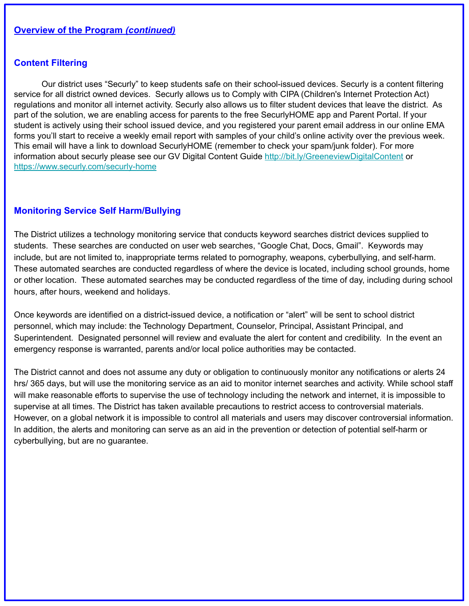#### **Content Filtering**

Our district uses "Securly" to keep students safe on their school-issued devices. Securly is a content filtering service for all district owned devices. Securly allows us to Comply with CIPA (Children's Internet Protection Act) regulations and monitor all internet activity. Securly also allows us to filter student devices that leave the district. As part of the solution, we are enabling access for parents to the free SecurlyHOME app and Parent Portal. If your student is actively using their school issued device, and you registered your parent email address in our online EMA forms you'll start to receive a weekly email report with samples of your child's online activity over the previous week. This email will have a link to download SecurlyHOME (remember to check your spam/junk folder). For more information about securly please see our GV Digital Content Guide <http://bit.ly/GreeneviewDigitalContent>or <https://www.securly.com/securly-home>

#### **Monitoring Service Self Harm/Bullying**

The District utilizes a technology monitoring service that conducts keyword searches district devices supplied to students. These searches are conducted on user web searches, "Google Chat, Docs, Gmail". Keywords may include, but are not limited to, inappropriate terms related to pornography, weapons, cyberbullying, and self-harm. These automated searches are conducted regardless of where the device is located, including school grounds, home or other location. These automated searches may be conducted regardless of the time of day, including during school hours, after hours, weekend and holidays.

Once keywords are identified on a district-issued device, a notification or "alert" will be sent to school district personnel, which may include: the Technology Department, Counselor, Principal, Assistant Principal, and Superintendent. Designated personnel will review and evaluate the alert for content and credibility. In the event an emergency response is warranted, parents and/or local police authorities may be contacted.

The District cannot and does not assume any duty or obligation to continuously monitor any notifications or alerts 24 hrs/ 365 days, but will use the monitoring service as an aid to monitor internet searches and activity. While school staff will make reasonable efforts to supervise the use of technology including the network and internet, it is impossible to supervise at all times. The District has taken available precautions to restrict access to controversial materials. However, on a global network it is impossible to control all materials and users may discover controversial information. In addition, the alerts and monitoring can serve as an aid in the prevention or detection of potential self-harm or cyberbullying, but are no guarantee.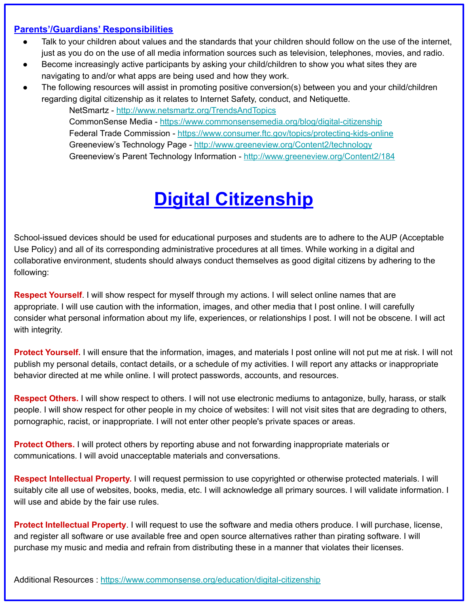#### **Parents'/Guardians' Responsibilities**

- Talk to your children about values and the standards that your children should follow on the use of the internet, just as you do on the use of all media information sources such as television, telephones, movies, and radio.
- Become increasingly active participants by asking your child/children to show you what sites they are navigating to and/or what apps are being used and how they work.
- The following resources will assist in promoting positive conversion(s) between you and your child/children regarding digital citizenship as it relates to Internet Safety, conduct, and Netiquette.

NetSmartz -<http://www.netsmartz.org/TrendsAndTopics> CommonSense Media - <https://www.commonsensemedia.org/blog/digital-citizenship> Federal Trade Commission -<https://www.consumer.ftc.gov/topics/protecting-kids-online> Greeneview's Technology Page - <http://www.greeneview.org/Content2/technology> Greeneview's Parent Technology Information -<http://www.greeneview.org/Content2/184>

# **Digital Citizenship**

School-issued devices should be used for educational purposes and students are to adhere to the AUP (Acceptable Use Policy) and all of its corresponding administrative procedures at all times. While working in a digital and collaborative environment, students should always conduct themselves as good digital citizens by adhering to the following:

**Respect Yourself**. I will show respect for myself through my actions. I will select online names that are appropriate. I will use caution with the information, images, and other media that I post online. I will carefully consider what personal information about my life, experiences, or relationships I post. I will not be obscene. I will act with integrity.

**Protect Yourself.** I will ensure that the information, images, and materials I post online will not put me at risk. I will not publish my personal details, contact details, or a schedule of my activities. I will report any attacks or inappropriate behavior directed at me while online. I will protect passwords, accounts, and resources.

**Respect Others .** I will show respect to others. I will not use electronic mediums to antagonize, bully, harass, or stalk people. I will show respect for other people in my choice of websites: I will not visit sites that are degrading to others, pornographic, racist, or inappropriate. I will not enter other people's private spaces or areas.

**Protect Others.** I will protect others by reporting abuse and not forwarding inappropriate materials or communications. I will avoid unacceptable materials and conversations.

**Respect Intellectual Property.** I will request permission to use copyrighted or otherwise protected materials. I will suitably cite all use of websites, books, media, etc. I will acknowledge all primary sources. I will validate information. I will use and abide by the fair use rules.

**Protect Intellectual Property**. I will request to use the software and media others produce. I will purchase, license, and register all software or use available free and open source alternatives rather than pirating software. I will purchase my music and media and refrain from distributing these in a manner that violates their licenses.

Additional Resources :<https://www.commonsense.org/education/digital-citizenship>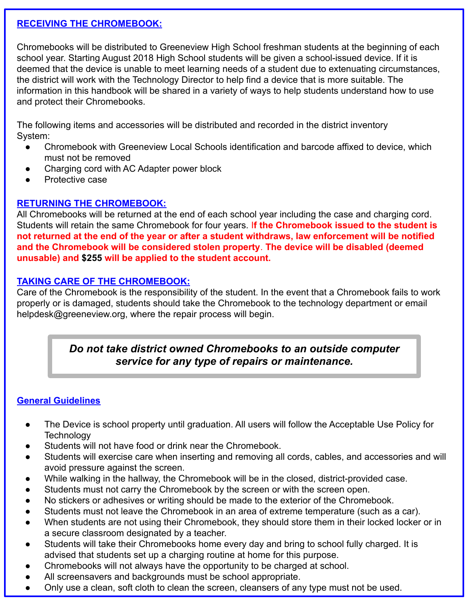#### **RECEIVING THE CHROMEBOOK:**

Chromebooks will be distributed to Greeneview High School freshman students at the beginning of each school year. Starting August 2018 High School students will be given a school-issued device. If it is deemed that the device is unable to meet learning needs of a student due to extenuating circumstances, the district will work with the Technology Director to help find a device that is more suitable. The information in this handbook will be shared in a variety of ways to help students understand how to use and protect their Chromebooks.

The following items and accessories will be distributed and recorded in the district inventory System:

- Chromebook with Greeneview Local Schools identification and barcode affixed to device, which must not be removed
- Charging cord with AC Adapter power block
- Protective case

#### **RETURNING THE CHROMEBOOK:**

All Chromebooks will be returned at the end of each school year including the case and charging cord. Students will retain the same Chromebook for four years. I**f the Chromebook issued to the student is not returned at the end of the year or after a student withdraws, law enforcement will be notified and the Chromebook will be considered stolen property**. **The device will be disabled (deemed unusable) and \$255 will be applied to the student account.**

#### **TAKING CARE OF THE CHROMEBOOK:**

Care of the Chromebook is the responsibility of the student. In the event that a Chromebook fails to work properly or is damaged, students should take the Chromebook to the technology department or email helpdesk@greeneview.org, where the repair process will begin.

## *Do not take district owned Chromebooks to an outside computer service for any type of repairs or maintenance.*

### **General Guidelines**

- The Device is school property until graduation. All users will follow the Acceptable Use Policy for **Technology**
- Students will not have food or drink near the Chromebook.
- Students will exercise care when inserting and removing all cords, cables, and accessories and will avoid pressure against the screen.
- While walking in the hallway, the Chromebook will be in the closed, district-provided case.
- Students must not carry the Chromebook by the screen or with the screen open.
- No stickers or adhesives or writing should be made to the exterior of the Chromebook.
- Students must not leave the Chromebook in an area of extreme temperature (such as a car).
- When students are not using their Chromebook, they should store them in their locked locker or in a secure classroom designated by a teacher.
- Students will take their Chromebooks home every day and bring to school fully charged. It is advised that students set up a charging routine at home for this purpose.
- Chromebooks will not always have the opportunity to be charged at school.
- All screensavers and backgrounds must be school appropriate.
- Only use a clean, soft cloth to clean the screen, cleansers of any type must not be used.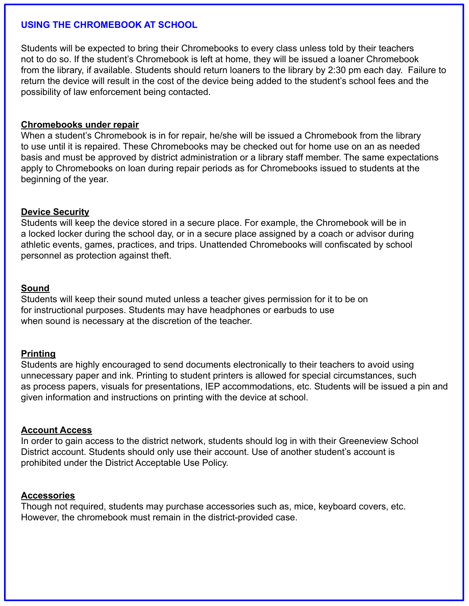#### **USING THE CHROMEBOOK AT SCHOOL**

Students will be expected to bring their Chromebooks to every class unless told by their teachers not to do so. If the student's Chromebook is left at home, they will be issued a loaner Chromebook from the library, if available. Students should return loaners to the library by 2:30 pm each day. Failure to return the device will result in the cost of the device being added to the student's school fees and the possibility of law enforcement being contacted.

#### **Chromebooks under repair**

When a student's Chromebook is in for repair, he/she will be issued a Chromebook from the library to use until it is repaired. These Chromebooks may be checked out for home use on an as needed basis and must be approved by district administration or a library staff member. The same expectations apply to Chromebooks on loan during repair periods as for Chromebooks issued to students at the beginning of the year.

#### **Device Security**

Students will keep the device stored in a secure place. For example, the Chromebook will be in a locked locker during the school day, or in a secure place assigned by a coach or advisor during athletic events, games, practices, and trips. Unattended Chromebooks will confiscated by school personnel as protection against theft.

#### **Sound**

Students will keep their sound muted unless a teacher gives permission for it to be on for instructional purposes. Students may have headphones or earbuds to use when sound is necessary at the discretion of the teacher.

#### **Printing**

Students are highly encouraged to send documents electronically to their teachers to avoid using unnecessary paper and ink. Printing to student printers is allowed for special circumstances, such as process papers, visuals for presentations, IEP accommodations, etc. Students will be issued a pin and given information and instructions on printing with the device at school.

#### **Account Access**

In order to gain access to the district network, students should log in with their Greeneview School District account. Students should only use their account. Use of another student's account is prohibited under the District Acceptable Use Policy.

#### **Accessories**

Though not required, students may purchase accessories such as, mice, keyboard covers, etc. However, the chromebook must remain in the district-provided case.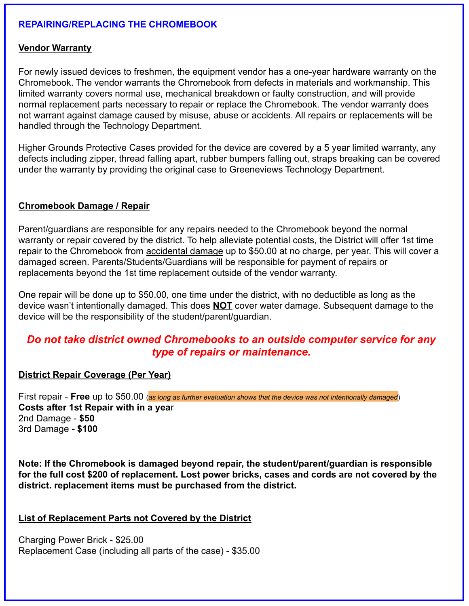#### **REPAIRING/REPLACING THE CHROMEBOOK**

#### **Vendor Warranty**

For newly issued devices to freshmen, the equipment vendor has a one-year hardware warranty on the Chromebook. The vendor warrants the Chromebook from defects in materials and workmanship. This limited warranty covers normal use, mechanical breakdown or faulty construction, and will provide normal replacement parts necessary to repair or replace the Chromebook. The vendor warranty does not warrant against damage caused by misuse, abuse or accidents. All repairs or replacements will be handled through the Technology Department.

Higher Grounds Protective Cases provided for the device are covered by a 5 year limited warranty, any defects including zipper, thread falling apart, rubber bumpers falling out, straps breaking can be covered under the warranty by providing the original case to Greeneviews Technology Department.

#### **Chromebook Damage / Repair**

Parent/guardians are responsible for any repairs needed to the Chromebook beyond the normal warranty or repair covered by the district. To help alleviate potential costs, the District will offer 1st time repair to the Chromebook from accidental damage up to \$50.00 at no charge, per year. This will cover a damaged screen. Parents/Students/Guardians will be responsible for payment of repairs or replacements beyond the 1st time replacement outside of the vendor warranty.

One repair will be done up to \$50.00, one time under the district, with no deductible as long as the device wasn't intentionally damaged. This does **NOT** cover water damage. Subsequent damage to the device will be the responsibility of the student/parent/guardian.

### *Do not take district owned Chromebooks to an outside computer service for any type of repairs or maintenance.*

#### **District Repair Coverage (Per Year)**

First repair - **Free** up to \$50.00 (*as long as further evaluation shows that the device was not intentionally damaged*) **Costs after 1st Repair with in a yea**r 2nd Damage - **\$50** 3rd Damage **- \$100**

**Note: If the Chromebook is damaged beyond repair, the student/parent/guardian is responsible for the full cost \$200 of replacement. Lost power bricks, cases and cords are not covered by the district. replacement items must be purchased from the district.**

#### **List of Replacement Parts not Covered by the District**

Charging Power Brick - \$25.00 Replacement Case (including all parts of the case) - \$35.00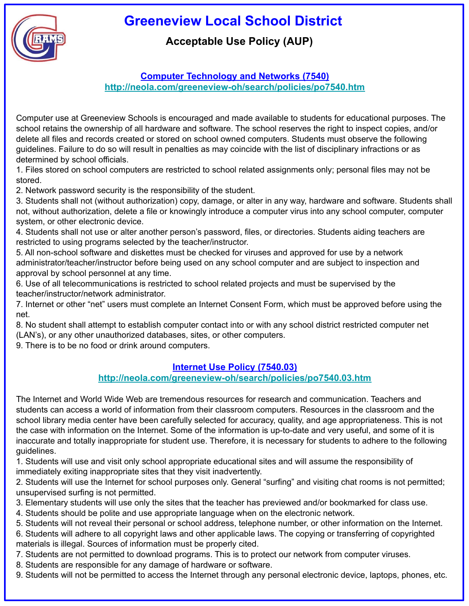

# **Acceptable Use Policy (AUP)**

#### **Computer Technology and Networks (7540) <http://neola.com/greeneview-oh/search/policies/po7540.htm>**

Computer use at Greeneview Schools is encouraged and made available to students for educational purposes. The school retains the ownership of all hardware and software. The school reserves the right to inspect copies, and/or delete all files and records created or stored on school owned computers. Students must observe the following guidelines. Failure to do so will result in penalties as may coincide with the list of disciplinary infractions or as determined by school officials.

1. Files stored on school computers are restricted to school related assignments only; personal files may not be stored.

2. Network password security is the responsibility of the student.

3. Students shall not (without authorization) copy, damage, or alter in any way, hardware and software. Students shall not, without authorization, delete a file or knowingly introduce a computer virus into any school computer, computer system, or other electronic device.

4. Students shall not use or alter another person's password, files, or directories. Students aiding teachers are restricted to using programs selected by the teacher/instructor.

5. All non-school software and diskettes must be checked for viruses and approved for use by a network administrator/teacher/instructor before being used on any school computer and are subject to inspection and approval by school personnel at any time.

6. Use of all telecommunications is restricted to school related projects and must be supervised by the teacher/instructor/network administrator.

7. Internet or other "net" users must complete an Internet Consent Form, which must be approved before using the net.

8. No student shall attempt to establish computer contact into or with any school district restricted computer net (LAN's), or any other unauthorized databases, sites, or other computers.

9. There is to be no food or drink around computers.

#### **Internet Use Policy (7540.03)**

#### **<http://neola.com/greeneview-oh/search/policies/po7540.03.htm>**

The Internet and World Wide Web are tremendous resources for research and communication. Teachers and students can access a world of information from their classroom computers. Resources in the classroom and the school library media center have been carefully selected for accuracy, quality, and age appropriateness. This is not the case with information on the Internet. Some of the information is up-to-date and very useful, and some of it is inaccurate and totally inappropriate for student use. Therefore, it is necessary for students to adhere to the following guidelines.

1. Students will use and visit only school appropriate educational sites and will assume the responsibility of immediately exiting inappropriate sites that they visit inadvertently.

2. Students will use the Internet for school purposes only. General "surfing" and visiting chat rooms is not permitted; unsupervised surfing is not permitted.

3. Elementary students will use only the sites that the teacher has previewed and/or bookmarked for class use.

4. Students should be polite and use appropriate language when on the electronic network.

5. Students will not reveal their personal or school address, telephone number, or other information on the Internet.

6. Students will adhere to all copyright laws and other applicable laws. The copying or transferring of copyrighted materials is illegal. Sources of information must be properly cited.

7. Students are not permitted to download programs. This is to protect our network from computer viruses.

8. Students are responsible for any damage of hardware or software.

9. Students will not be permitted to access the Internet through any personal electronic device, laptops, phones, etc.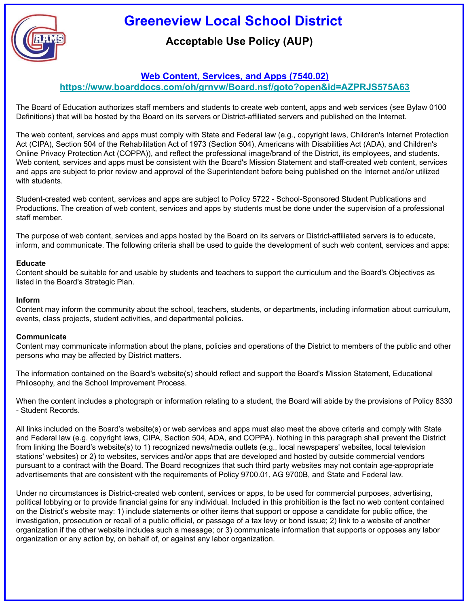

## **Acceptable Use Policy (AUP)**

#### **Web Content, Services, and Apps (7540.02)**

**<https://www.boarddocs.com/oh/grnvw/Board.nsf/goto?open&id=AZPRJS575A63>**

The Board of Education authorizes staff members and students to create web content, apps and web services (see Bylaw 0100 Definitions) that will be hosted by the Board on its servers or District-affiliated servers and published on the Internet.

The web content, services and apps must comply with State and Federal law (e.g., copyright laws, Children's Internet Protection Act (CIPA), Section 504 of the Rehabilitation Act of 1973 (Section 504), Americans with Disabilities Act (ADA), and Children's Online Privacy Protection Act (COPPA)), and reflect the professional image/brand of the District, its employees, and students. Web content, services and apps must be consistent with the Board's Mission Statement and staff-created web content, services and apps are subject to prior review and approval of the Superintendent before being published on the Internet and/or utilized with students.

Student-created web content, services and apps are subject to Policy 5722 - School-Sponsored Student Publications and Productions. The creation of web content, services and apps by students must be done under the supervision of a professional staff member.

The purpose of web content, services and apps hosted by the Board on its servers or District-affiliated servers is to educate, inform, and communicate. The following criteria shall be used to guide the development of such web content, services and apps:

#### **Educate**

Content should be suitable for and usable by students and teachers to support the curriculum and the Board's Objectives as listed in the Board's Strategic Plan.

#### **Inform**

Content may inform the community about the school, teachers, students, or departments, including information about curriculum, events, class projects, student activities, and departmental policies.

#### **Communicate**

Content may communicate information about the plans, policies and operations of the District to members of the public and other persons who may be affected by District matters.

The information contained on the Board's website(s) should reflect and support the Board's Mission Statement, Educational Philosophy, and the School Improvement Process.

When the content includes a photograph or information relating to a student, the Board will abide by the provisions of Policy 8330 - Student Records.

All links included on the Board's website(s) or web services and apps must also meet the above criteria and comply with State and Federal law (e.g. copyright laws, CIPA, Section 504, ADA, and COPPA). Nothing in this paragraph shall prevent the District from linking the Board's website(s) to 1) recognized news/media outlets (e.g., local newspapers' websites, local television stations' websites) or 2) to websites, services and/or apps that are developed and hosted by outside commercial vendors pursuant to a contract with the Board. The Board recognizes that such third party websites may not contain age-appropriate advertisements that are consistent with the requirements of Policy 9700.01, AG 9700B, and State and Federal law.

Under no circumstances is District-created web content, services or apps, to be used for commercial purposes, advertising, political lobbying or to provide financial gains for any individual. Included in this prohibition is the fact no web content contained on the District's website may: 1) include statements or other items that support or oppose a candidate for public office, the investigation, prosecution or recall of a public official, or passage of a tax levy or bond issue; 2) link to a website of another organization if the other website includes such a message; or 3) communicate information that supports or opposes any labor organization or any action by, on behalf of, or against any labor organization.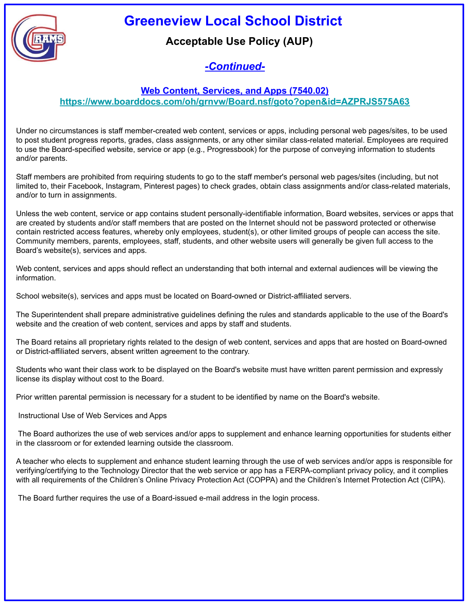



## **Acceptable Use Policy (AUP)**

# *-Continued-*

#### **Web Content, Services, and Apps (7540.02)**

**<https://www.boarddocs.com/oh/grnvw/Board.nsf/goto?open&id=AZPRJS575A63>**

Under no circumstances is staff member-created web content, services or apps, including personal web pages/sites, to be used to post student progress reports, grades, class assignments, or any other similar class-related material. Employees are required to use the Board-specified website, service or app (e.g., Progressbook) for the purpose of conveying information to students and/or parents.

Staff members are prohibited from requiring students to go to the staff member's personal web pages/sites (including, but not limited to, their Facebook, Instagram, Pinterest pages) to check grades, obtain class assignments and/or class-related materials, and/or to turn in assignments.

Unless the web content, service or app contains student personally-identifiable information, Board websites, services or apps that are created by students and/or staff members that are posted on the Internet should not be password protected or otherwise contain restricted access features, whereby only employees, student(s), or other limited groups of people can access the site. Community members, parents, employees, staff, students, and other website users will generally be given full access to the Board's website(s), services and apps.

Web content, services and apps should reflect an understanding that both internal and external audiences will be viewing the information.

School website(s), services and apps must be located on Board-owned or District-affiliated servers.

The Superintendent shall prepare administrative guidelines defining the rules and standards applicable to the use of the Board's website and the creation of web content, services and apps by staff and students.

The Board retains all proprietary rights related to the design of web content, services and apps that are hosted on Board-owned or District-affiliated servers, absent written agreement to the contrary.

Students who want their class work to be displayed on the Board's website must have written parent permission and expressly license its display without cost to the Board.

Prior written parental permission is necessary for a student to be identified by name on the Board's website.

Instructional Use of Web Services and Apps

 The Board authorizes the use of web services and/or apps to supplement and enhance learning opportunities for students either in the classroom or for extended learning outside the classroom.

A teacher who elects to supplement and enhance student learning through the use of web services and/or apps is responsible for verifying/certifying to the Technology Director that the web service or app has a FERPA-compliant privacy policy, and it complies with all requirements of the Children's Online Privacy Protection Act (COPPA) and the Children's Internet Protection Act (CIPA).

The Board further requires the use of a Board-issued e-mail address in the login process.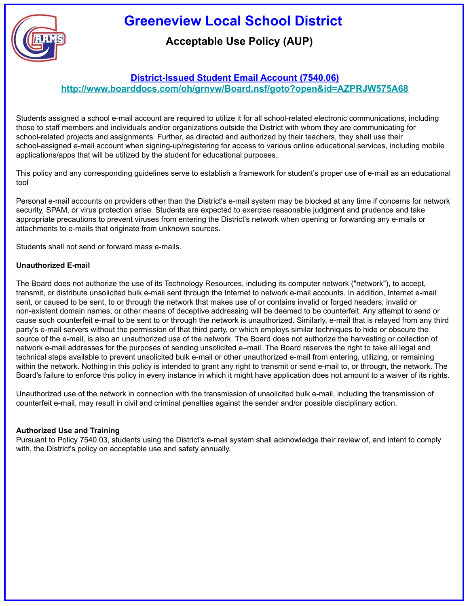

## **Acceptable Use Policy (AUP)**

#### **District-Issued Student Email Account (7540.06)**

**<http://www.boarddocs.com/oh/grnvw/Board.nsf/goto?open&id=AZPRJW575A68>**

Students assigned a school e-mail account are required to utilize it for all school-related electronic communications, including those to staff members and individuals and/or organizations outside the District with whom they are communicating for school-related projects and assignments. Further, as directed and authorized by their teachers, they shall use their school-assigned e-mail account when signing-up/registering for access to various online educational services, including mobile applications/apps that will be utilized by the student for educational purposes.

This policy and any corresponding guidelines serve to establish a framework for student's proper use of e-mail as an educational tool

Personal e-mail accounts on providers other than the District's e-mail system may be blocked at any time if concerns for network security, SPAM, or virus protection arise. Students are expected to exercise reasonable judgment and prudence and take appropriate precautions to prevent viruses from entering the District's network when opening or forwarding any e-mails or attachments to e-mails that originate from unknown sources.

Students shall not send or forward mass e-mails.

#### **Unauthorized E-mail**

The Board does not authorize the use of its Technology Resources, including its computer network ("network"), to accept, transmit, or distribute unsolicited bulk e-mail sent through the Internet to network e-mail accounts. In addition, Internet e-mail sent, or caused to be sent, to or through the network that makes use of or contains invalid or forged headers, invalid or non-existent domain names, or other means of deceptive addressing will be deemed to be counterfeit. Any attempt to send or cause such counterfeit e-mail to be sent to or through the network is unauthorized. Similarly, e-mail that is relayed from any third party's e-mail servers without the permission of that third party, or which employs similar techniques to hide or obscure the source of the e-mail, is also an unauthorized use of the network. The Board does not authorize the harvesting or collection of network e-mail addresses for the purposes of sending unsolicited e–mail. The Board reserves the right to take all legal and technical steps available to prevent unsolicited bulk e-mail or other unauthorized e-mail from entering, utilizing, or remaining within the network. Nothing in this policy is intended to grant any right to transmit or send e-mail to, or through, the network. The Board's failure to enforce this policy in every instance in which it might have application does not amount to a waiver of its rights.

Unauthorized use of the network in connection with the transmission of unsolicited bulk e-mail, including the transmission of counterfeit e-mail, may result in civil and criminal penalties against the sender and/or possible disciplinary action.

#### **Authorized Use and Training**

Pursuant to Policy 7540.03, students using the District's e-mail system shall acknowledge their review of, and intent to comply with, the District's policy on acceptable use and safety annually.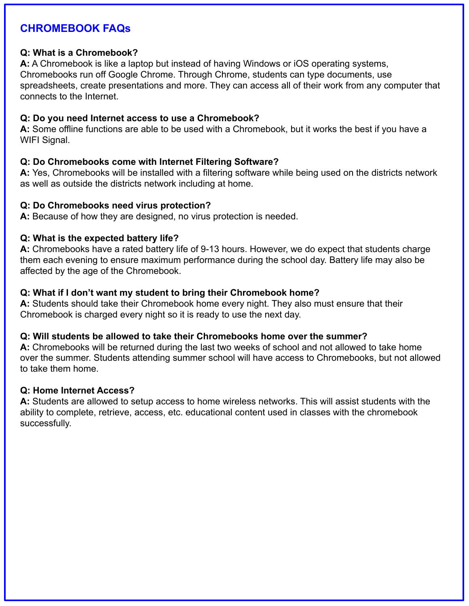## **CHROMEBOOK FAQs**

#### **Q: What is a Chromebook?**

**A:** A Chromebook is like a laptop but instead of having Windows or iOS operating systems, Chromebooks run off Google Chrome. Through Chrome, students can type documents, use spreadsheets, create presentations and more. They can access all of their work from any computer that connects to the Internet.

#### **Q: Do you need Internet access to use a Chromebook?**

**A:** Some offline functions are able to be used with a Chromebook, but it works the best if you have a WIFI Signal.

#### **Q: Do Chromebooks come with Internet Filtering Software?**

**A:** Yes, Chromebooks will be installed with a filtering software while being used on the districts network as well as outside the districts network including at home.

#### **Q: Do Chromebooks need virus protection?**

**A:** Because of how they are designed, no virus protection is needed.

#### **Q: What is the expected battery life?**

**A:** Chromebooks have a rated battery life of 9-13 hours. However, we do expect that students charge them each evening to ensure maximum performance during the school day. Battery life may also be affected by the age of the Chromebook.

#### **Q: What if I don't want my student to bring their Chromebook home?**

**A:** Students should take their Chromebook home every night. They also must ensure that their Chromebook is charged every night so it is ready to use the next day.

#### **Q: Will students be allowed to take their Chromebooks home over the summer?**

**A:** Chromebooks will be returned during the last two weeks of school and not allowed to take home over the summer. Students attending summer school will have access to Chromebooks, but not allowed to take them home.

#### **Q: Home Internet Access?**

**A:** Students are allowed to setup access to home wireless networks. This will assist students with the ability to complete, retrieve, access, etc. educational content used in classes with the chromebook successfully.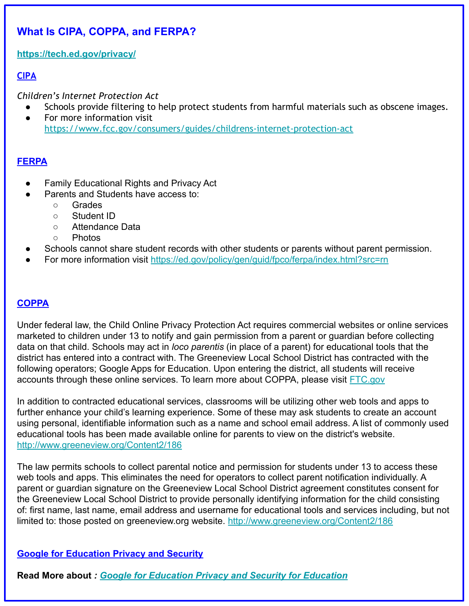# **What Is CIPA, COPPA, and FERPA?**

**<https://tech.ed.gov/privacy/>**

### **CIPA**

*Children's Internet Protection Act*

- Schools provide filtering to help protect students from harmful materials such as obscene images.
- For more information visit <https://www.fcc.gov/consumers/guides/childrens-internet-protection-act>

#### **FERPA**

- **Family Educational Rights and Privacy Act**
- Parents and Students have access to:
	- Grades
	- Student ID
	- Attendance Data
	- Photos
- Schools cannot share student records with other students or parents without parent permission.
- For more information visit <https://ed.gov/policy/gen/guid/fpco/ferpa/index.html?src=rn>

#### **COPPA**

Under federal law, the Child Online Privacy Protection Act requires commercial websites or online services marketed to children under 13 to notify and gain permission from a parent or guardian before collecting data on that child. Schools may act in *loco parentis* (in place of a parent) for educational tools that the district has entered into a contract with. The Greeneview Local School District has contracted with the following operators; Google Apps for Education. Upon entering the district, all students will receive accounts through these online services. To learn more about COPPA, please visit [FTC.gov](https://www.ftc.gov/tips-advice/business-center/guidance/complying-coppa-frequently-asked-questions#Schools)

In addition to contracted educational services, classrooms will be utilizing other web tools and apps to further enhance your child's learning experience. Some of these may ask students to create an account using personal, identifiable information such as a name and school email address. A list of commonly used educational tools has been made available online for parents to view on the district's website. <http://www.greeneview.org/Content2/186>

The law permits schools to collect parental notice and permission for students under 13 to access these web tools and apps. This eliminates the need for operators to collect parent notification individually. A parent or guardian signature on the Greeneview Local School District agreement constitutes consent for the Greeneview Local School District to provide personally identifying information for the child consisting of: first name, last name, email address and username for educational tools and services including, but not limited to: those posted on greeneview.org website. <http://www.greeneview.org/Content2/186>

### **Google for Education Privacy and Security**

**Read More about** *: [Google for Education Privacy and Security for Education](https://edu.google.com/k-12-solutions/privacy-security/?modal_active=none)*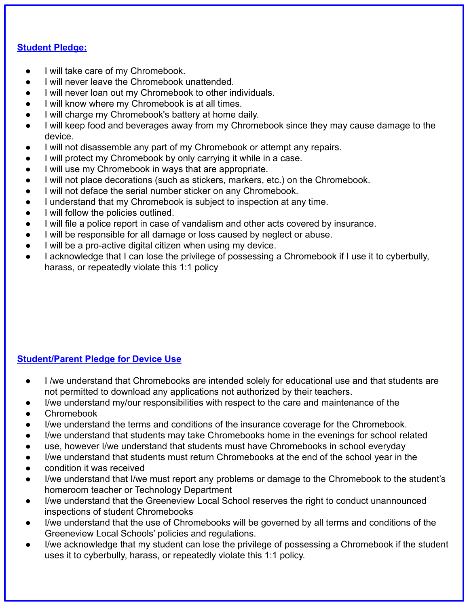#### **Student Pledge:**

- I will take care of my Chromebook.
- I will never leave the Chromebook unattended.
- I will never loan out my Chromebook to other individuals.
- I will know where my Chromebook is at all times.
- I will charge my Chromebook's battery at home daily.
- I will keep food and beverages away from my Chromebook since they may cause damage to the device.
- I will not disassemble any part of my Chromebook or attempt any repairs.
- I will protect my Chromebook by only carrying it while in a case.
- I will use my Chromebook in ways that are appropriate.
- I will not place decorations (such as stickers, markers, etc.) on the Chromebook.
- I will not deface the serial number sticker on any Chromebook.
- I understand that my Chromebook is subject to inspection at any time.
- I will follow the policies outlined.
- I will file a police report in case of vandalism and other acts covered by insurance.
- I will be responsible for all damage or loss caused by neglect or abuse.
- I will be a pro-active digital citizen when using my device.
- I acknowledge that I can lose the privilege of possessing a Chromebook if I use it to cyberbully, harass, or repeatedly violate this 1:1 policy

### **Student/Parent Pledge for Device Use**

- I /we understand that Chromebooks are intended solely for educational use and that students are not permitted to download any applications not authorized by their teachers.
- I/we understand my/our responsibilities with respect to the care and maintenance of the
- Chromebook
- I/we understand the terms and conditions of the insurance coverage for the Chromebook.
- I/we understand that students may take Chromebooks home in the evenings for school related
- use, however I/we understand that students must have Chromebooks in school everyday
- I/we understand that students must return Chromebooks at the end of the school year in the
- condition it was received
- I/we understand that I/we must report any problems or damage to the Chromebook to the student's homeroom teacher or Technology Department
- I/we understand that the Greeneview Local School reserves the right to conduct unannounced inspections of student Chromebooks
- I/we understand that the use of Chromebooks will be governed by all terms and conditions of the Greeneview Local Schools' policies and regulations.
- I/we acknowledge that my student can lose the privilege of possessing a Chromebook if the student uses it to cyberbully, harass, or repeatedly violate this 1:1 policy.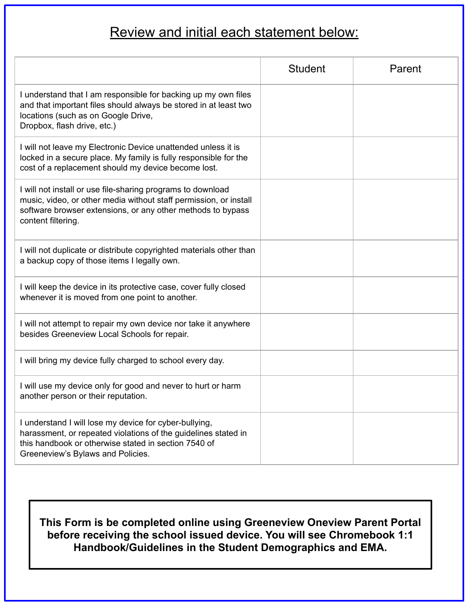# Review and initial each statement below:

|                                                                                                                                                                                                                       | <b>Student</b> | Parent |
|-----------------------------------------------------------------------------------------------------------------------------------------------------------------------------------------------------------------------|----------------|--------|
| I understand that I am responsible for backing up my own files<br>and that important files should always be stored in at least two<br>locations (such as on Google Drive,<br>Dropbox, flash drive, etc.)              |                |        |
| I will not leave my Electronic Device unattended unless it is<br>locked in a secure place. My family is fully responsible for the<br>cost of a replacement should my device become lost.                              |                |        |
| I will not install or use file-sharing programs to download<br>music, video, or other media without staff permission, or install<br>software browser extensions, or any other methods to bypass<br>content filtering. |                |        |
| I will not duplicate or distribute copyrighted materials other than<br>a backup copy of those items I legally own.                                                                                                    |                |        |
| I will keep the device in its protective case, cover fully closed<br>whenever it is moved from one point to another.                                                                                                  |                |        |
| I will not attempt to repair my own device nor take it anywhere<br>besides Greeneview Local Schools for repair.                                                                                                       |                |        |
| I will bring my device fully charged to school every day.                                                                                                                                                             |                |        |
| I will use my device only for good and never to hurt or harm<br>another person or their reputation.                                                                                                                   |                |        |
| I understand I will lose my device for cyber-bullying,<br>harassment, or repeated violations of the guidelines stated in<br>this handbook or otherwise stated in section 7540 of<br>Greeneview's Bylaws and Policies. |                |        |

**This Form is be completed online using Greeneview Oneview Parent Portal before receiving the school issued device. You will see Chromebook 1:1 Handbook/Guidelines in the Student Demographics and EMA.**